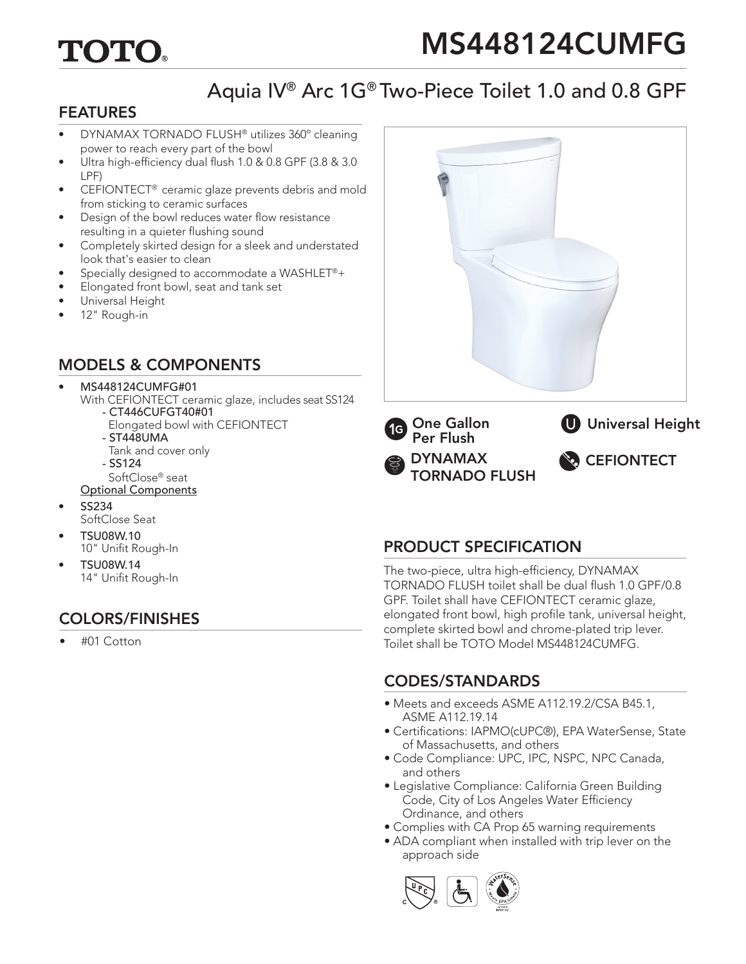# TOTO

# MS448124CUMFG

# Aquia IV® Arc 1G® Two-Piece Toilet 1.0 and 0.8 GPF

#### FEATURES

- DYNAMAX TORNADO FLUSH® utilizes 360º cleaning power to reach every part of the bowl
- Ultra high-efficiency dual flush 1.0 & 0.8 GPF (3.8 & 3.0) LPF)
- CEFIONTECT<sup>®</sup> ceramic glaze prevents debris and mold from sticking to ceramic surfaces
- Design of the bowl reduces water flow resistance resulting in a quieter flushing sound
- Completely skirted design for a sleek and understated look that's easier to clean
- Specially designed to accommodate a WASHLET®+
- Elongated front bowl, seat and tank set
- Universal Height
- 12" Rough-in

#### MODELS & COMPONENTS

#### • MS448124CUMFG#01

- With CEFIONTECT ceramic glaze, includes seat SS124 - CT446CUFGT40#01
	- Elongated bowl with CEFIONTECT
	- ST448UMA
	- Tank and cover only
	- SS124
- SoftClose® seat Optional Components
- SS234 SoftClose Seat
- TSU08W.10 10" Unifit Rough-In
- TSU08W.14 14" Unifit Rough-In

### COLORS/FINISHES

• #01 Cotton



### PRODUCT SPECIFICATION

The two-piece, ultra high-efficiency, DYNAMAX TORNADO FLUSH toilet shall be dual flush 1.0 GPF/0.8 GPF. Toilet shall have CEFIONTECT ceramic glaze, elongated front bowl, high profile tank, universal height, complete skirted bowl and chrome-plated trip lever. Toilet shall be TOTO Model MS448124CUMFG.

### CODES/STANDARDS

- Meets and exceeds ASME A112.19.2/CSA B45.1, ASME A112.19.14
- Certifications: IAPMO(cUPC®), EPA WaterSense, State of Massachusetts, and others
- Code Compliance: UPC, IPC, NSPC, NPC Canada, and others
- Legislative Compliance: California Green Building Code, City of Los Angeles Water Efficiency Ordinance, and others
- Complies with CA Prop 65 warning requirements
- ADA compliant when installed with trip lever on the approach side